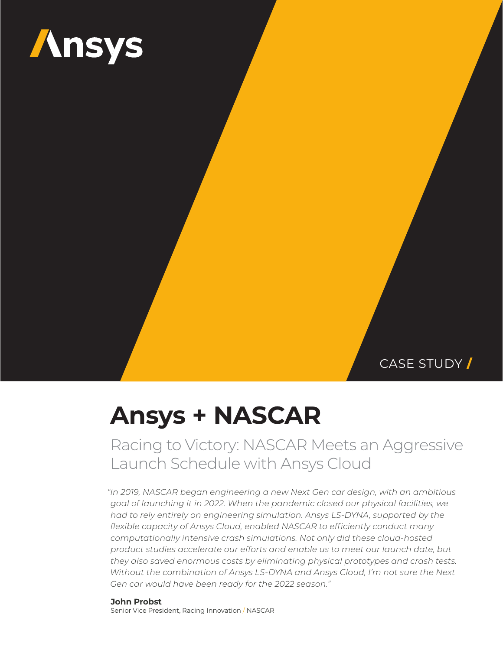

CASE STUDY **/**

# **Ansys + NASCAR**

Racing to Victory: NASCAR Meets an Aggressive Launch Schedule with Ansys Cloud

*"In 2019, NASCAR began engineering a new Next Gen car design, with an ambitious goal of launching it in 2022. When the pandemic closed our physical facilities, we had to rely entirely on engineering simulation. Ansys LS-DYNA, supported by the flexible capacity of Ansys Cloud, enabled NASCAR to efficiently conduct many computationally intensive crash simulations. Not only did these cloud-hosted product studies accelerate our efforts and enable us to meet our launch date, but they also saved enormous costs by eliminating physical prototypes and crash tests. Without the combination of Ansys LS-DYNA and Ansys Cloud, I'm not sure the Next Gen car would have been ready for the 2022 season."*

**John Probst** Senior Vice President, Racing Innovation / NASCAR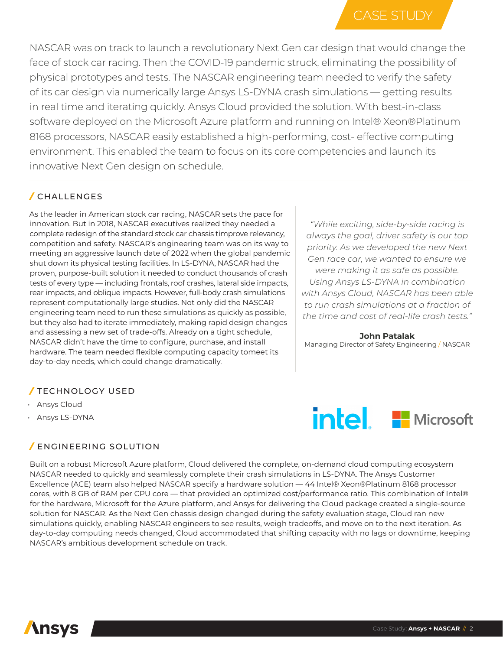NASCAR was on track to launch a revolutionary Next Gen car design that would change the face of stock car racing. Then the COVID-19 pandemic struck, eliminating the possibility of physical prototypes and tests. The NASCAR engineering team needed to verify the safety of its car design via numerically large Ansys LS-DYNA crash simulations — getting results in real time and iterating quickly. Ansys Cloud provided the solution. With best-in-class software deployed on the Microsoft Azure platform and running on Intel® Xeon®Platinum 8168 processors, NASCAR easily established a high-performing, cost- effective computing environment. This enabled the team to focus on its core competencies and launch its innovative Next Gen design on schedule.

# */* CHALLENGES

As the leader in American stock car racing, NASCAR sets the pace for innovation. But in 2018, NASCAR executives realized they needed a complete redesign of the standard stock car chassis timprove relevancy, competition and safety. NASCAR's engineering team was on its way to meeting an aggressive launch date of 2022 when the global pandemic shut down its physical testing facilities. In LS-DYNA, NASCAR had the proven, purpose-built solution it needed to conduct thousands of crash tests of every type — including frontals, roof crashes, lateral side impacts, rear impacts, and oblique impacts. However, full-body crash simulations represent computationally large studies. Not only did the NASCAR engineering team need to run these simulations as quickly as possible, but they also had to iterate immediately, making rapid design changes and assessing a new set of trade-offs. Already on a tight schedule, NASCAR didn't have the time to configure, purchase, and install hardware. The team needed flexible computing capacity tomeet its day-to-day needs, which could change dramatically.

## */* TECHNOLOGY USED

- Ansys Cloud
- Ansys LS-DYNA

# */* ENGINEERING SOLUTION

*"While exciting, side-by-side racing is always the goal, driver safety is our top priority. As we developed the new Next Gen race car, we wanted to ensure we were making it as safe as possible. Using Ansys LS-DYNA in combination with Ansys Cloud, NASCAR has been able to run crash simulations at a fraction of the time and cost of real-life crash tests."*

**John Patalak** Managing Director of Safety Engineering / NASCAR



Built on a robust Microsoft Azure platform, Cloud delivered the complete, on-demand cloud computing ecosystem NASCAR needed to quickly and seamlessly complete their crash simulations in LS-DYNA. The Ansys Customer Excellence (ACE) team also helped NASCAR specify a hardware solution — 44 Intel® Xeon®Platinum 8168 processor cores, with 8 GB of RAM per CPU core — that provided an optimized cost/performance ratio. This combination of Intel® for the hardware, Microsoft for the Azure platform, and Ansys for delivering the Cloud package created a single-source solution for NASCAR. As the Next Gen chassis design changed during the safety evaluation stage, Cloud ran new simulations quickly, enabling NASCAR engineers to see results, weigh tradeoffs, and move on to the next iteration. As day-to-day computing needs changed, Cloud accommodated that shifting capacity with no lags or downtime, keeping NASCAR's ambitious development schedule on track.